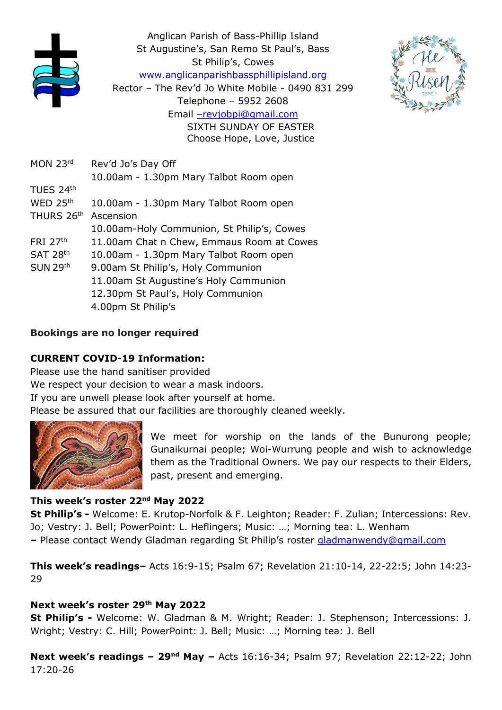





- MON 23<sup>rd</sup> Rev'd Jo's Day Off TUES 24th WED  $25<sup>th</sup>$ THURS 26<sup>th</sup> Ascension
- FRI 27<sup>th</sup> 11.00am Chat n Chew, Emmaus Room at Cowes
- SAT 28<sup>th</sup> 10.00am - 1.30pm Mary Talbot Room open
- SUN 29th 9.00am St Philip's, Holy Communion
	- 11.00am St Augustine's Holy Communion
		- 12.30pm St Paul's, Holy Communion
		- 4.00pm St Philip's

# Bookings are no longer required

# CURRENT COVID-19 Information:

Please use the hand sanitiser provided We respect your decision to wear a mask indoors. If you are unwell please look after yourself at home. Please be assured that our facilities are thoroughly cleaned weekly.



We meet for worship on the lands of the Bunurong people; Gunaikurnai people; Woi-Wurrung people and wish to acknowledge them as the Traditional Owners. We pay our respects to their Elders, past, present and emerging.

# This week's roster 22nd May 2022

St Philip's - Welcome: E. Krutop-Norfolk & F. Leighton; Reader: F. Zulian; Intercessions: Rev. Jo; Vestry: J. Bell; PowerPoint: L. Heflingers; Music: …; Morning tea: L. Wenham – Please contact Wendy Gladman regarding St Philip's roster gladmanwendy@gmail.com

This week's readings– Acts 16:9-15; Psalm 67; Revelation 21:10-14, 22-22:5; John 14:23- 29

# Next week's roster 29th May 2022

St Philip's - Welcome: W. Gladman & M. Wright; Reader: J. Stephenson; Intercessions: J. Wright; Vestry: C. Hill; PowerPoint: J. Bell; Music: …; Morning tea: J. Bell

Next week's readings  $-29<sup>nd</sup>$  May  $-$  Acts 16:16-34; Psalm 97; Revelation 22:12-22; John 17:20-26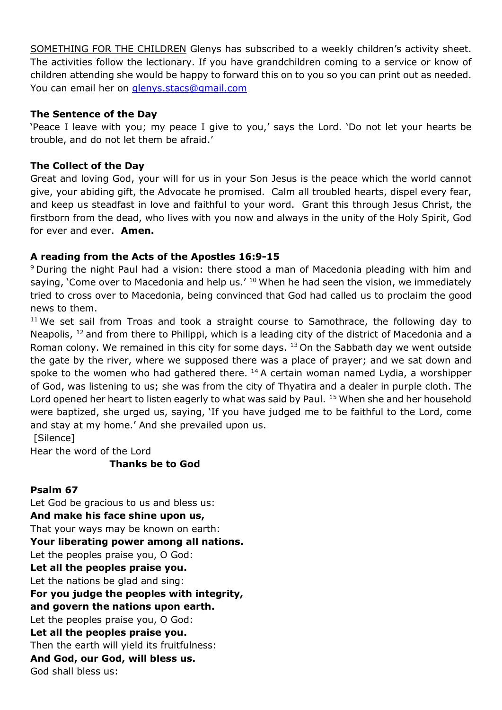SOMETHING FOR THE CHILDREN Glenys has subscribed to a weekly children's activity sheet. The activities follow the lectionary. If you have grandchildren coming to a service or know of children attending she would be happy to forward this on to you so you can print out as needed. You can email her on glenys.stacs@gmail.com

#### The Sentence of the Day

'Peace I leave with you; my peace I give to you,' says the Lord. 'Do not let your hearts be trouble, and do not let them be afraid.'

#### The Collect of the Day

Great and loving God, your will for us in your Son Jesus is the peace which the world cannot give, your abiding gift, the Advocate he promised. Calm all troubled hearts, dispel every fear, and keep us steadfast in love and faithful to your word. Grant this through Jesus Christ, the firstborn from the dead, who lives with you now and always in the unity of the Holy Spirit, God for ever and ever. **Amen.** 

#### A reading from the Acts of the Apostles 16:9-15

<sup>9</sup>During the night Paul had a vision: there stood a man of Macedonia pleading with him and saying, 'Come over to Macedonia and help us.'  $10$  When he had seen the vision, we immediately tried to cross over to Macedonia, being convinced that God had called us to proclaim the good news to them.

<sup>11</sup> We set sail from Troas and took a straight course to Samothrace, the following day to Neapolis,  $12$  and from there to Philippi, which is a leading city of the district of Macedonia and a Roman colony. We remained in this city for some days.  $13$  On the Sabbath day we went outside the gate by the river, where we supposed there was a place of prayer; and we sat down and spoke to the women who had gathered there.  $14$  A certain woman named Lydia, a worshipper of God, was listening to us; she was from the city of Thyatira and a dealer in purple cloth. The Lord opened her heart to listen eagerly to what was said by Paul. <sup>15</sup> When she and her household were baptized, she urged us, saying, 'If you have judged me to be faithful to the Lord, come and stay at my home.' And she prevailed upon us. [Silence]

Hear the word of the Lord

### Thanks be to God

### Psalm 67

Let God be gracious to us and bless us: And make his face shine upon us, That your ways may be known on earth: Your liberating power among all nations. Let the peoples praise you, O God: Let all the peoples praise you. Let the nations be glad and sing: For you judge the peoples with integrity, and govern the nations upon earth. Let the peoples praise you, O God: Let all the peoples praise you. Then the earth will yield its fruitfulness: And God, our God, will bless us. God shall bless us: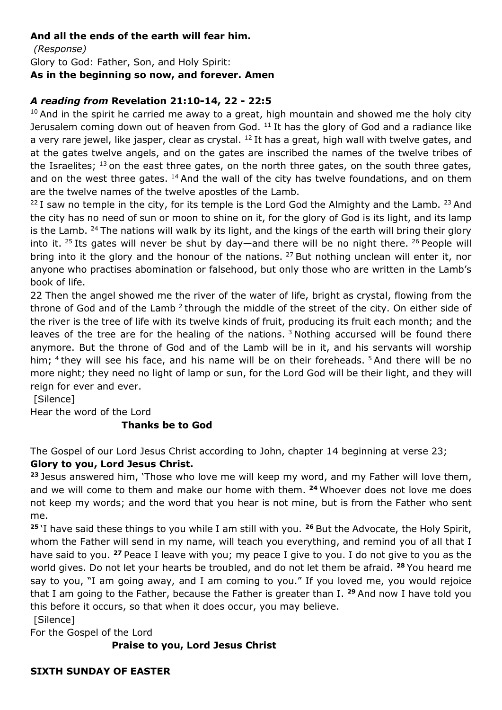#### And all the ends of the earth will fear him.

 (Response) Glory to God: Father, Son, and Holy Spirit: As in the beginning so now, and forever. Amen

### A reading from Revelation 21:10-14, 22 - 22:5

 $10$  And in the spirit he carried me away to a great, high mountain and showed me the holy city Jerusalem coming down out of heaven from God.  $11$  It has the glory of God and a radiance like a very rare jewel, like jasper, clear as crystal. <sup>12</sup> It has a great, high wall with twelve gates, and at the gates twelve angels, and on the gates are inscribed the names of the twelve tribes of the Israelites;  $^{13}$  on the east three gates, on the north three gates, on the south three gates, and on the west three gates.  $14$  And the wall of the city has twelve foundations, and on them are the twelve names of the twelve apostles of the Lamb.

 $22$  I saw no temple in the city, for its temple is the Lord God the Almighty and the Lamb.  $23$  And the city has no need of sun or moon to shine on it, for the glory of God is its light, and its lamp is the Lamb.  $24$  The nations will walk by its light, and the kings of the earth will bring their glory into it. <sup>25</sup> Its gates will never be shut by day—and there will be no night there. <sup>26</sup> People will bring into it the glory and the honour of the nations. <sup>27</sup> But nothing unclean will enter it, nor anyone who practises abomination or falsehood, but only those who are written in the Lamb's book of life.

22 Then the angel showed me the river of the water of life, bright as crystal, flowing from the throne of God and of the Lamb  $2$  through the middle of the street of the city. On either side of the river is the tree of life with its twelve kinds of fruit, producing its fruit each month; and the leaves of the tree are for the healing of the nations.  $3$  Nothing accursed will be found there anymore. But the throne of God and of the Lamb will be in it, and his servants will worship him; <sup>4</sup> they will see his face, and his name will be on their foreheads. <sup>5</sup> And there will be no more night; they need no light of lamp or sun, for the Lord God will be their light, and they will reign for ever and ever.

[Silence]

Hear the word of the Lord

### Thanks be to God

The Gospel of our Lord Jesus Christ according to John, chapter 14 beginning at verse 23;

### Glory to you, Lord Jesus Christ.

<sup>23</sup> Jesus answered him, 'Those who love me will keep my word, and my Father will love them, and we will come to them and make our home with them.  $24$  Whoever does not love me does not keep my words; and the word that you hear is not mine, but is from the Father who sent me.

<sup>25</sup>'I have said these things to you while I am still with you. <sup>26</sup> But the Advocate, the Holy Spirit, whom the Father will send in my name, will teach you everything, and remind you of all that I have said to you. <sup>27</sup> Peace I leave with you; my peace I give to you. I do not give to you as the world gives. Do not let your hearts be troubled, and do not let them be afraid. <sup>28</sup> You heard me say to you, "I am going away, and I am coming to you." If you loved me, you would rejoice that I am going to the Father, because the Father is greater than I.  $29$  And now I have told you this before it occurs, so that when it does occur, you may believe.

[Silence]

For the Gospel of the Lord

### Praise to you, Lord Jesus Christ

### SIXTH SUNDAY OF EASTER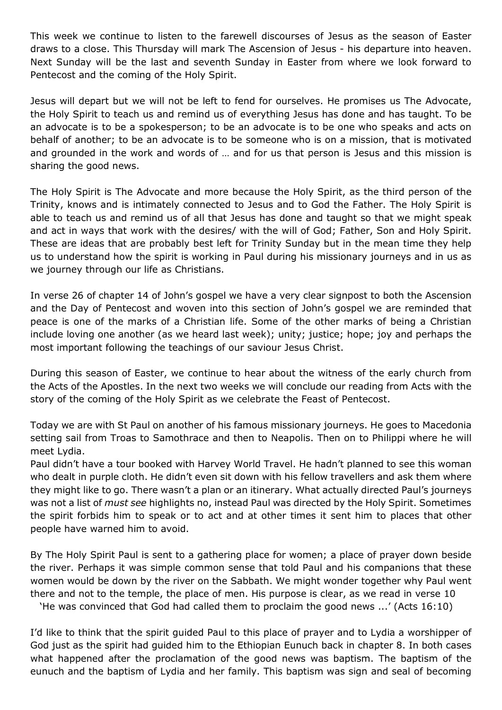This week we continue to listen to the farewell discourses of Jesus as the season of Easter draws to a close. This Thursday will mark The Ascension of Jesus - his departure into heaven. Next Sunday will be the last and seventh Sunday in Easter from where we look forward to Pentecost and the coming of the Holy Spirit.

Jesus will depart but we will not be left to fend for ourselves. He promises us The Advocate, the Holy Spirit to teach us and remind us of everything Jesus has done and has taught. To be an advocate is to be a spokesperson; to be an advocate is to be one who speaks and acts on behalf of another; to be an advocate is to be someone who is on a mission, that is motivated and grounded in the work and words of … and for us that person is Jesus and this mission is sharing the good news.

The Holy Spirit is The Advocate and more because the Holy Spirit, as the third person of the Trinity, knows and is intimately connected to Jesus and to God the Father. The Holy Spirit is able to teach us and remind us of all that Jesus has done and taught so that we might speak and act in ways that work with the desires/ with the will of God; Father, Son and Holy Spirit. These are ideas that are probably best left for Trinity Sunday but in the mean time they help us to understand how the spirit is working in Paul during his missionary journeys and in us as we journey through our life as Christians.

In verse 26 of chapter 14 of John's gospel we have a very clear signpost to both the Ascension and the Day of Pentecost and woven into this section of John's gospel we are reminded that peace is one of the marks of a Christian life. Some of the other marks of being a Christian include loving one another (as we heard last week); unity; justice; hope; joy and perhaps the most important following the teachings of our saviour Jesus Christ.

During this season of Easter, we continue to hear about the witness of the early church from the Acts of the Apostles. In the next two weeks we will conclude our reading from Acts with the story of the coming of the Holy Spirit as we celebrate the Feast of Pentecost.

Today we are with St Paul on another of his famous missionary journeys. He goes to Macedonia setting sail from Troas to Samothrace and then to Neapolis. Then on to Philippi where he will meet Lydia.

Paul didn't have a tour booked with Harvey World Travel. He hadn't planned to see this woman who dealt in purple cloth. He didn't even sit down with his fellow travellers and ask them where they might like to go. There wasn't a plan or an itinerary. What actually directed Paul's journeys was not a list of must see highlights no, instead Paul was directed by the Holy Spirit. Sometimes the spirit forbids him to speak or to act and at other times it sent him to places that other people have warned him to avoid.

By The Holy Spirit Paul is sent to a gathering place for women; a place of prayer down beside the river. Perhaps it was simple common sense that told Paul and his companions that these women would be down by the river on the Sabbath. We might wonder together why Paul went there and not to the temple, the place of men. His purpose is clear, as we read in verse 10

'He was convinced that God had called them to proclaim the good news ...' (Acts 16:10)

I'd like to think that the spirit guided Paul to this place of prayer and to Lydia a worshipper of God just as the spirit had guided him to the Ethiopian Eunuch back in chapter 8. In both cases what happened after the proclamation of the good news was baptism. The baptism of the eunuch and the baptism of Lydia and her family. This baptism was sign and seal of becoming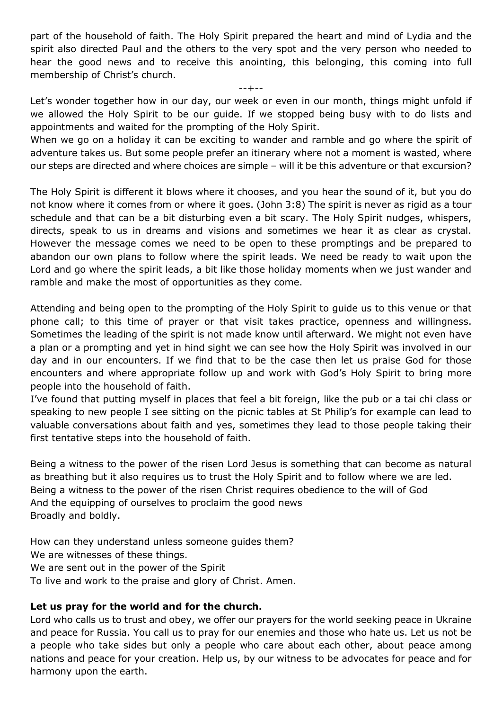part of the household of faith. The Holy Spirit prepared the heart and mind of Lydia and the spirit also directed Paul and the others to the very spot and the very person who needed to hear the good news and to receive this anointing, this belonging, this coming into full membership of Christ's church.

--+--

Let's wonder together how in our day, our week or even in our month, things might unfold if we allowed the Holy Spirit to be our guide. If we stopped being busy with to do lists and appointments and waited for the prompting of the Holy Spirit.

When we go on a holiday it can be exciting to wander and ramble and go where the spirit of adventure takes us. But some people prefer an itinerary where not a moment is wasted, where our steps are directed and where choices are simple – will it be this adventure or that excursion?

The Holy Spirit is different it blows where it chooses, and you hear the sound of it, but you do not know where it comes from or where it goes. (John 3:8) The spirit is never as rigid as a tour schedule and that can be a bit disturbing even a bit scary. The Holy Spirit nudges, whispers, directs, speak to us in dreams and visions and sometimes we hear it as clear as crystal. However the message comes we need to be open to these promptings and be prepared to abandon our own plans to follow where the spirit leads. We need be ready to wait upon the Lord and go where the spirit leads, a bit like those holiday moments when we just wander and ramble and make the most of opportunities as they come.

Attending and being open to the prompting of the Holy Spirit to guide us to this venue or that phone call; to this time of prayer or that visit takes practice, openness and willingness. Sometimes the leading of the spirit is not made know until afterward. We might not even have a plan or a prompting and yet in hind sight we can see how the Holy Spirit was involved in our day and in our encounters. If we find that to be the case then let us praise God for those encounters and where appropriate follow up and work with God's Holy Spirit to bring more people into the household of faith.

I've found that putting myself in places that feel a bit foreign, like the pub or a tai chi class or speaking to new people I see sitting on the picnic tables at St Philip's for example can lead to valuable conversations about faith and yes, sometimes they lead to those people taking their first tentative steps into the household of faith.

Being a witness to the power of the risen Lord Jesus is something that can become as natural as breathing but it also requires us to trust the Holy Spirit and to follow where we are led. Being a witness to the power of the risen Christ requires obedience to the will of God And the equipping of ourselves to proclaim the good news Broadly and boldly.

How can they understand unless someone guides them? We are witnesses of these things. We are sent out in the power of the Spirit To live and work to the praise and glory of Christ. Amen.

### Let us pray for the world and for the church.

Lord who calls us to trust and obey, we offer our prayers for the world seeking peace in Ukraine and peace for Russia. You call us to pray for our enemies and those who hate us. Let us not be a people who take sides but only a people who care about each other, about peace among nations and peace for your creation. Help us, by our witness to be advocates for peace and for harmony upon the earth.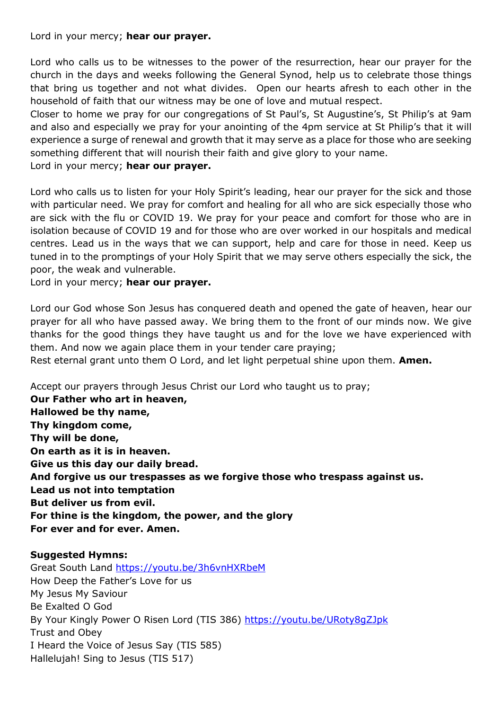Lord in your mercy; hear our prayer.

Lord who calls us to be witnesses to the power of the resurrection, hear our prayer for the church in the days and weeks following the General Synod, help us to celebrate those things that bring us together and not what divides. Open our hearts afresh to each other in the household of faith that our witness may be one of love and mutual respect.

Closer to home we pray for our congregations of St Paul's, St Augustine's, St Philip's at 9am and also and especially we pray for your anointing of the 4pm service at St Philip's that it will experience a surge of renewal and growth that it may serve as a place for those who are seeking something different that will nourish their faith and give glory to your name.

Lord in your mercy; hear our prayer.

Lord who calls us to listen for your Holy Spirit's leading, hear our prayer for the sick and those with particular need. We pray for comfort and healing for all who are sick especially those who are sick with the flu or COVID 19. We pray for your peace and comfort for those who are in isolation because of COVID 19 and for those who are over worked in our hospitals and medical centres. Lead us in the ways that we can support, help and care for those in need. Keep us tuned in to the promptings of your Holy Spirit that we may serve others especially the sick, the poor, the weak and vulnerable.

Lord in your mercy; hear our prayer.

Lord our God whose Son Jesus has conquered death and opened the gate of heaven, hear our prayer for all who have passed away. We bring them to the front of our minds now. We give thanks for the good things they have taught us and for the love we have experienced with them. And now we again place them in your tender care praying; Rest eternal grant unto them O Lord, and let light perpetual shine upon them. Amen.

Accept our prayers through Jesus Christ our Lord who taught us to pray;

Our Father who art in heaven, Hallowed be thy name, Thy kingdom come, Thy will be done, On earth as it is in heaven. Give us this day our daily bread. And forgive us our trespasses as we forgive those who trespass against us. Lead us not into temptation But deliver us from evil. For thine is the kingdom, the power, and the glory For ever and for ever. Amen.

### Suggested Hymns:

Great South Land https://youtu.be/3h6vnHXRbeM How Deep the Father's Love for us My Jesus My Saviour Be Exalted O God By Your Kingly Power O Risen Lord (TIS 386) https://youtu.be/URoty8gZJpk Trust and Obey I Heard the Voice of Jesus Say (TIS 585) Hallelujah! Sing to Jesus (TIS 517)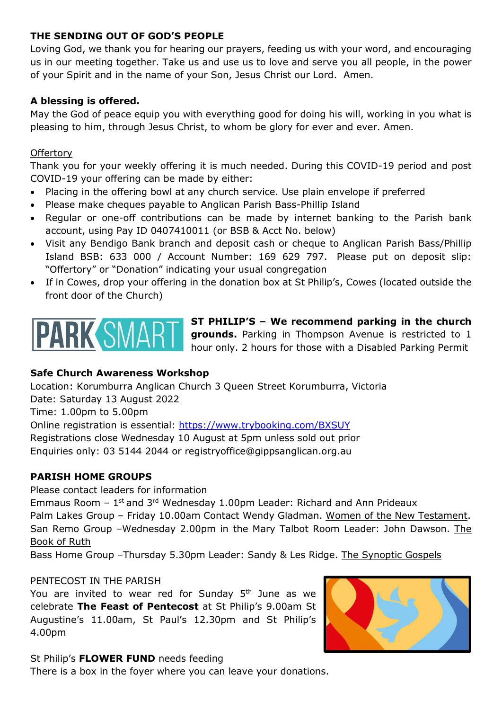### THE SENDING OUT OF GOD'S PEOPLE

Loving God, we thank you for hearing our prayers, feeding us with your word, and encouraging us in our meeting together. Take us and use us to love and serve you all people, in the power of your Spirit and in the name of your Son, Jesus Christ our Lord. Amen.

## A blessing is offered.

May the God of peace equip you with everything good for doing his will, working in you what is pleasing to him, through Jesus Christ, to whom be glory for ever and ever. Amen.

### **Offertory**

Thank you for your weekly offering it is much needed. During this COVID-19 period and post COVID-19 your offering can be made by either:

- Placing in the offering bowl at any church service. Use plain envelope if preferred
- Please make cheques payable to Anglican Parish Bass-Phillip Island
- Regular or one-off contributions can be made by internet banking to the Parish bank account, using Pay ID 0407410011 (or BSB & Acct No. below)
- Visit any Bendigo Bank branch and deposit cash or cheque to Anglican Parish Bass/Phillip Island BSB: 633 000 / Account Number: 169 629 797. Please put on deposit slip: "Offertory" or "Donation" indicating your usual congregation
- If in Cowes, drop your offering in the donation box at St Philip's, Cowes (located outside the front door of the Church)



ST PHILIP'S – We recommend parking in the church grounds. Parking in Thompson Avenue is restricted to 1 hour only. 2 hours for those with a Disabled Parking Permit

### Safe Church Awareness Workshop

Location: Korumburra Anglican Church 3 Queen Street Korumburra, Victoria Date: Saturday 13 August 2022 Time: 1.00pm to 5.00pm Online registration is essential: https://www.trybooking.com/BXSUY Registrations close Wednesday 10 August at 5pm unless sold out prior Enquiries only: 03 5144 2044 or registryoffice@gippsanglican.org.au

### PARISH HOME GROUPS

Please contact leaders for information

Emmaus Room  $-1$ <sup>st</sup> and 3<sup>rd</sup> Wednesday 1.00pm Leader: Richard and Ann Prideaux Palm Lakes Group – Friday 10.00am Contact Wendy Gladman. Women of the New Testament. San Remo Group –Wednesday 2.00pm in the Mary Talbot Room Leader: John Dawson. The Book of Ruth

Bass Home Group –Thursday 5.30pm Leader: Sandy & Les Ridge. The Synoptic Gospels

#### PENTECOST IN THE PARISH

You are invited to wear red for Sunday  $5<sup>th</sup>$  June as we celebrate The Feast of Pentecost at St Philip's 9.00am St Augustine's 11.00am, St Paul's 12.30pm and St Philip's 4.00pm



### St Philip's FLOWER FUND needs feeding

There is a box in the foyer where you can leave your donations.